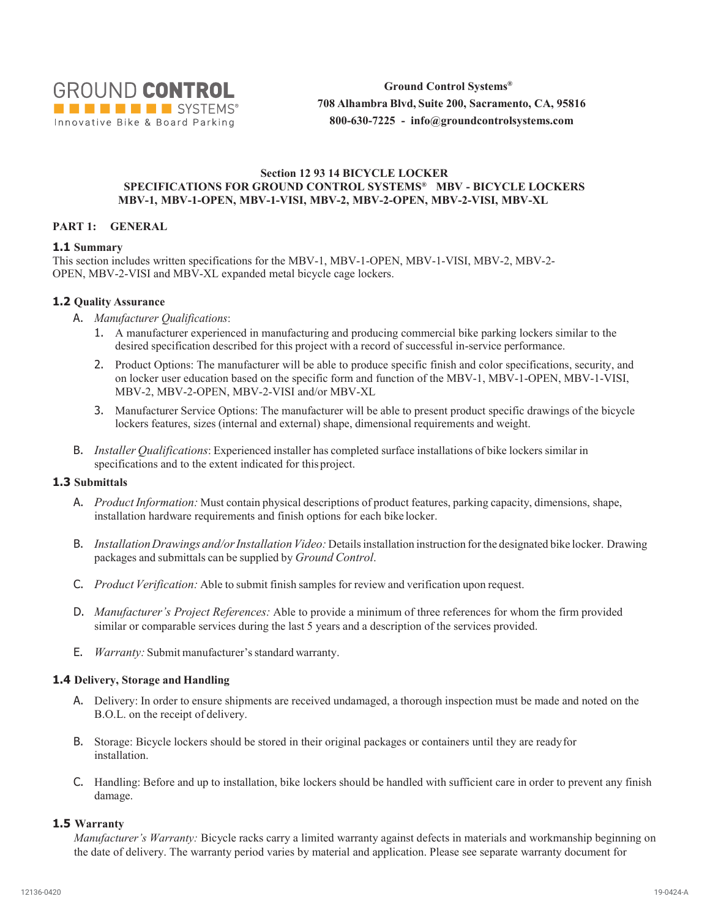

**Ground Control Systems® 708 Alhambra Blvd, Suite 200, Sacramento, CA, 95816 800-630-7225 - info@groundcontrolsystems.com**

#### **Section 12 93 14 BICYCLE LOCKER SPECIFICATIONS FOR GROUND CONTROL SYSTEMS® MBV - BICYCLE LOCKERS MBV-1, MBV-1-OPEN, MBV-1-VISI, MBV-2, MBV-2-OPEN, MBV-2-VISI, MBV-XL**

#### **PART 1: GENERAL**

#### **1.1 Summary**

This section includes written specifications for the MBV-1, MBV-1-OPEN, MBV-1-VISI, MBV-2, MBV-2- OPEN, MBV-2-VISI and MBV-XL expanded metal bicycle cage lockers.

#### **1.2 Quality Assurance**

- A. *Manufacturer Qualifications*:
	- 1. A manufacturer experienced in manufacturing and producing commercial bike parking lockers similar to the desired specification described for this project with a record of successful in-service performance.
	- 2. Product Options: The manufacturer will be able to produce specific finish and color specifications, security, and on locker user education based on the specific form and function of the MBV-1, MBV-1-OPEN, MBV-1-VISI, MBV-2, MBV-2-OPEN, MBV-2-VISI and/or MBV-XL
	- 3. Manufacturer Service Options: The manufacturer will be able to present product specific drawings of the bicycle lockers features, sizes (internal and external) shape, dimensional requirements and weight.
- B. *Installer Qualifications*: Experienced installer has completed surface installations of bike lockers similar in specifications and to the extent indicated for this project.

#### **1.3 Submittals**

- A. *Product Information:* Must contain physical descriptions of product features, parking capacity, dimensions, shape, installation hardware requirements and finish options for each bike locker.
- B. *Installation Drawings and/or Installation Video:* Details installation instruction for the designated bike locker. Drawing packages and submittals can be supplied by *Ground Control*.
- C. *Product Verification:* Able to submit finish samples for review and verification upon request.
- D. *Manufacturer's Project References:* Able to provide a minimum of three references for whom the firm provided similar or comparable services during the last 5 years and a description of the services provided.
- E. *Warranty:* Submit manufacturer'sstandard warranty.

# **1.4 Delivery, Storage and Handling**

- A. Delivery: In order to ensure shipments are received undamaged, a thorough inspection must be made and noted on the B.O.L. on the receipt of delivery.
- B. Storage: Bicycle lockers should be stored in their original packages or containers until they are readyfor installation.
- C. Handling: Before and up to installation, bike lockers should be handled with sufficient care in order to prevent any finish damage.

#### **1.5 Warranty**

*Manufacturer's Warranty:* Bicycle racks carry a limited warranty against defects in materials and workmanship beginning on the date of delivery. The warranty period varies by material and application. Please see separate warranty document for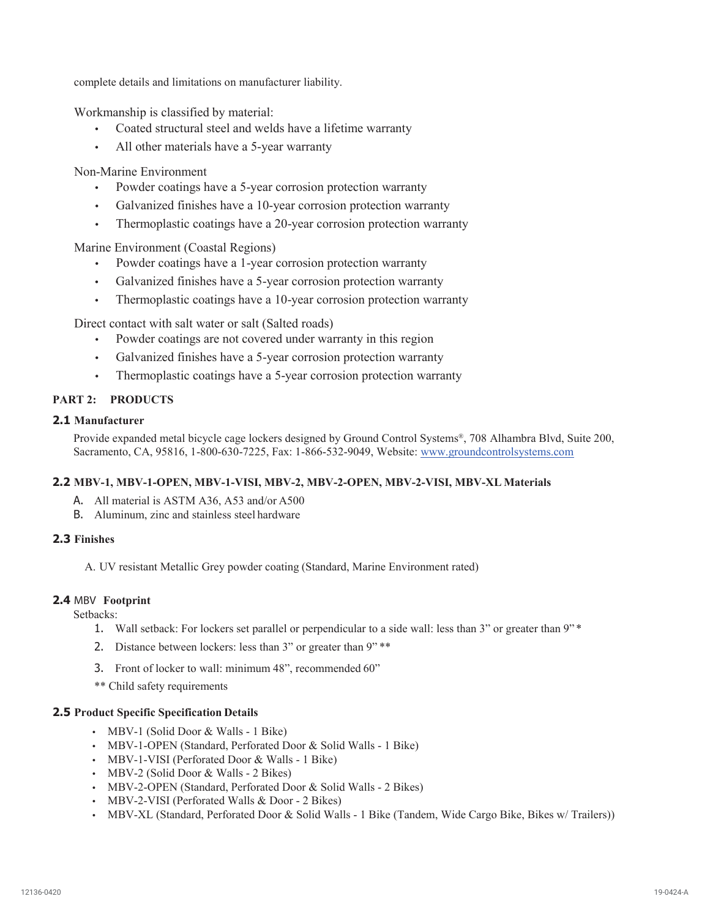complete details and limitations on manufacturer liability.

Workmanship is classified by material:

- Coated structural steel and welds have a lifetime warranty
- All other materials have a 5-year warranty

Non-Marine Environment

- Powder coatings have a 5-year corrosion protection warranty
- Galvanized finishes have a 10-year corrosion protection warranty
- Thermoplastic coatings have a 20-year corrosion protection warranty

Marine Environment (Coastal Regions)

- Powder coatings have a 1-year corrosion protection warranty
- Galvanized finishes have a 5-year corrosion protection warranty
- Thermoplastic coatings have a 10-year corrosion protection warranty

Direct contact with salt water or salt (Salted roads)

- Powder coatings are not covered under warranty in this region
- Galvanized finishes have a 5-year corrosion protection warranty
- Thermoplastic coatings have a 5-year corrosion protection warranty

# **PART 2: PRODUCTS**

# **2.1 Manufacturer**

Provide expanded metal bicycle cage lockers designed by Ground Control Systems®, 708 Alhambra Blvd, Suite 200, Sacramento, CA, 95816, 1-800-630-7225, Fax: 1-866-532-9049, Website: www.groundcontrolsystems.com

# **2.2 MBV-1, MBV-1-OPEN, MBV-1-VISI, MBV-2, MBV-2-OPEN, MBV-2-VISI, MBV-XL Materials**

- A. All material is ASTM A36, A53 and/or A500
- B. Aluminum, zinc and stainless steel hardware

# **2.3 Finishes**

A. UV resistant Metallic Grey powder coating (Standard, Marine Environment rated)

# **2.4 MBV Footprint**

Setbacks:

- 1. Wall setback: For lockers set parallel or perpendicular to a side wall: less than 3" or greater than 9" \*
- 2. Distance between lockers: less than 3" or greater than 9"\*\*
- 3. Front of locker to wall: minimum 48", recommended 60"
- \*\* Child safety requirements

# **2.5 Product Specific Specification Details**

- MBV-1 (Solid Door & Walls 1 Bike)
- MBV-1-OPEN (Standard, Perforated Door & Solid Walls 1 Bike)
- MBV-1-VISI (Perforated Door & Walls 1 Bike)
- MBV-2 (Solid Door & Walls 2 Bikes)
- MBV-2-OPEN (Standard, Perforated Door & Solid Walls 2 Bikes)
- MBV-2-VISI (Perforated Walls & Door 2 Bikes)
- MBV-XL (Standard, Perforated Door & Solid Walls 1 Bike (Tandem, Wide Cargo Bike, Bikes w/ Trailers))